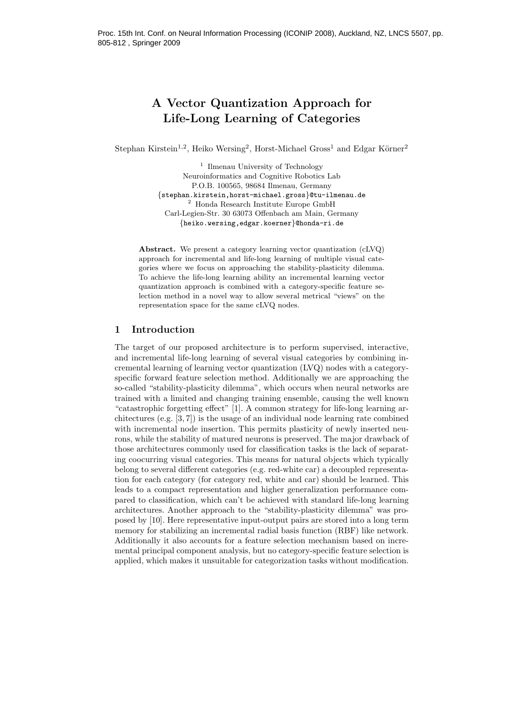# A Vector Quantization Approach for Life-Long Learning of Categories

Stephan Kirstein<sup>1,2</sup>, Heiko Wersing<sup>2</sup>, Horst-Michael Gross<sup>1</sup> and Edgar Körner<sup>2</sup>

<sup>1</sup> Ilmenau University of Technology Neuroinformatics and Cognitive Robotics Lab P.O.B. 100565, 98684 Ilmenau, Germany {stephan.kirstein,horst-michael.gross}@tu-ilmenau.de  $^{\rm 2}$ Honda Research Institute Europe GmbH Carl-Legien-Str. 30 63073 Offenbach am Main, Germany {heiko.wersing,edgar.koerner}@honda-ri.de

Abstract. We present a category learning vector quantization (cLVQ) approach for incremental and life-long learning of multiple visual categories where we focus on approaching the stability-plasticity dilemma. To achieve the life-long learning ability an incremental learning vector quantization approach is combined with a category-specific feature selection method in a novel way to allow several metrical "views" on the representation space for the same cLVQ nodes.

# 1 Introduction

The target of our proposed architecture is to perform supervised, interactive, and incremental life-long learning of several visual categories by combining incremental learning of learning vector quantization (LVQ) nodes with a categoryspecific forward feature selection method. Additionally we are approaching the so-called "stability-plasticity dilemma", which occurs when neural networks are trained with a limited and changing training ensemble, causing the well known "catastrophic forgetting effect" [1]. A common strategy for life-long learning architectures (e.g. [3, 7]) is the usage of an individual node learning rate combined with incremental node insertion. This permits plasticity of newly inserted neurons, while the stability of matured neurons is preserved. The major drawback of those architectures commonly used for classification tasks is the lack of separating coocurring visual categories. This means for natural objects which typically belong to several different categories (e.g. red-white car) a decoupled representation for each category (for category red, white and car) should be learned. This leads to a compact representation and higher generalization performance compared to classification, which can't be achieved with standard life-long learning architectures. Another approach to the "stability-plasticity dilemma" was proposed by [10]. Here representative input-output pairs are stored into a long term memory for stabilizing an incremental radial basis function (RBF) like network. Additionally it also accounts for a feature selection mechanism based on incremental principal component analysis, but no category-specific feature selection is applied, which makes it unsuitable for categorization tasks without modification.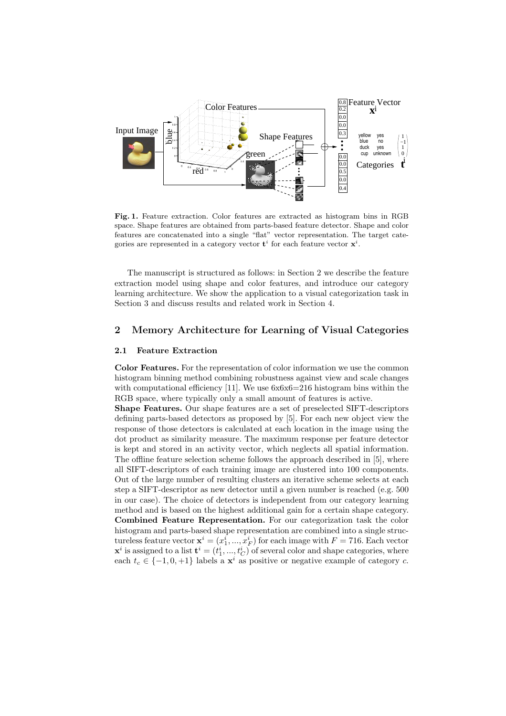

Fig. 1. Feature extraction. Color features are extracted as histogram bins in RGB space. Shape features are obtained from parts-based feature detector. Shape and color features are concatenated into a single "flat" vector representation. The target categories are represented in a category vector  $\mathbf{t}^i$  for each feature vector  $\mathbf{x}^i$ .

The manuscript is structured as follows: in Section 2 we describe the feature extraction model using shape and color features, and introduce our category learning architecture. We show the application to a visual categorization task in Section 3 and discuss results and related work in Section 4.

## 2 Memory Architecture for Learning of Visual Categories

#### 2.1 Feature Extraction

Color Features. For the representation of color information we use the common histogram binning method combining robustness against view and scale changes with computational efficiency [11]. We use  $6x6x6=216$  histogram bins within the RGB space, where typically only a small amount of features is active.

Shape Features. Our shape features are a set of preselected SIFT-descriptors defining parts-based detectors as proposed by [5]. For each new object view the response of those detectors is calculated at each location in the image using the dot product as similarity measure. The maximum response per feature detector is kept and stored in an activity vector, which neglects all spatial information. The offline feature selection scheme follows the approach described in [5], where all SIFT-descriptors of each training image are clustered into 100 components. Out of the large number of resulting clusters an iterative scheme selects at each step a SIFT-descriptor as new detector until a given number is reached (e.g. 500 in our case). The choice of detectors is independent from our category learning method and is based on the highest additional gain for a certain shape category. Combined Feature Representation. For our categorization task the color histogram and parts-based shape representation are combined into a single structureless feature vector  $\mathbf{x}^i = (x_1^i, ..., x_F^i)$  for each image with  $F = 716$ . Each vector  $\mathbf{x}^i$  is assigned to a list  $\mathbf{t}^i = (t^i_1, ..., t^i_C)$  of several color and shape categories, where each  $t_c \in \{-1, 0, +1\}$  labels a  $\mathbf{x}^i$  as positive or negative example of category c.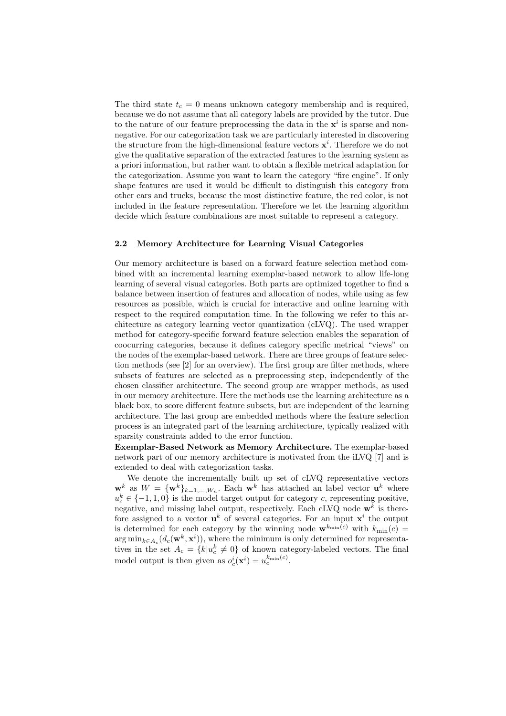The third state  $t_c = 0$  means unknown category membership and is required, because we do not assume that all category labels are provided by the tutor. Due to the nature of our feature preprocessing the data in the  $x^i$  is sparse and nonnegative. For our categorization task we are particularly interested in discovering the structure from the high-dimensional feature vectors  $\mathbf{x}^i$ . Therefore we do not give the qualitative separation of the extracted features to the learning system as a priori information, but rather want to obtain a flexible metrical adaptation for the categorization. Assume you want to learn the category "fire engine". If only shape features are used it would be difficult to distinguish this category from other cars and trucks, because the most distinctive feature, the red color, is not included in the feature representation. Therefore we let the learning algorithm decide which feature combinations are most suitable to represent a category.

#### 2.2 Memory Architecture for Learning Visual Categories

Our memory architecture is based on a forward feature selection method combined with an incremental learning exemplar-based network to allow life-long learning of several visual categories. Both parts are optimized together to find a balance between insertion of features and allocation of nodes, while using as few resources as possible, which is crucial for interactive and online learning with respect to the required computation time. In the following we refer to this architecture as category learning vector quantization (cLVQ). The used wrapper method for category-specific forward feature selection enables the separation of coocurring categories, because it defines category specific metrical "views" on the nodes of the exemplar-based network. There are three groups of feature selection methods (see [2] for an overview). The first group are filter methods, where subsets of features are selected as a preprocessing step, independently of the chosen classifier architecture. The second group are wrapper methods, as used in our memory architecture. Here the methods use the learning architecture as a black box, to score different feature subsets, but are independent of the learning architecture. The last group are embedded methods where the feature selection process is an integrated part of the learning architecture, typically realized with sparsity constraints added to the error function.

Exemplar-Based Network as Memory Architecture. The exemplar-based network part of our memory architecture is motivated from the iLVQ [7] and is extended to deal with categorization tasks.

We denote the incrementally built up set of cLVQ representative vectors  $\mathbf{w}^k$  as  $W = {\mathbf{w}^k}_{k=1,\dots,W_n}$ . Each  $\mathbf{w}^k$  has attached an label vector  $\mathbf{u}^k$  where  $u_c^k \in \{-1, 1, 0\}$  is the model target output for category c, representing positive, negative, and missing label output, respectively. Each cLVQ node  $\mathbf{w}^k$  is therefore assigned to a vector  $\mathbf{u}^k$  of several categories. For an input  $\mathbf{x}^i$  the output is determined for each category by the winning node  $\mathbf{w}^{k_{\min}(c)}$  with  $k_{\min}(c)$  =  $\arg \min_{k \in A_c} (d_c(\mathbf{w}^k, \mathbf{x}^i))$ , where the minimum is only determined for representatives in the set  $A_c = \{k | u_c^k \neq 0\}$  of known category-labeled vectors. The final model output is then given as  $o_c^i(\mathbf{x}^i) = u_c^{k_{\min}(c)}$ .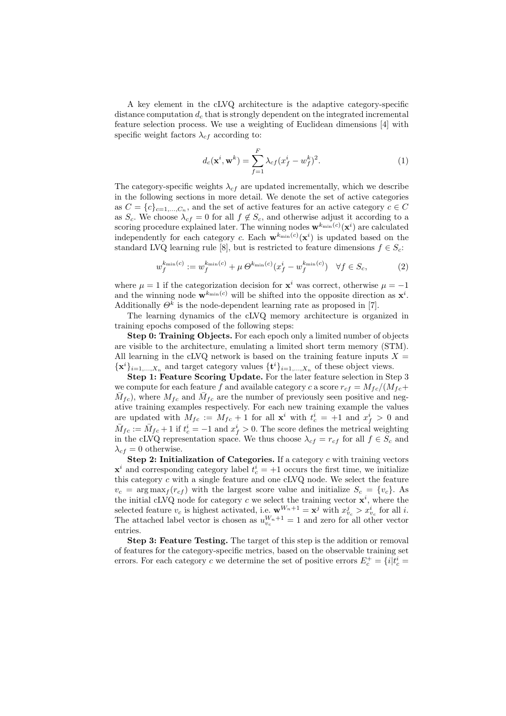A key element in the cLVQ architecture is the adaptive category-specific distance computation  $d_c$  that is strongly dependent on the integrated incremental feature selection process. We use a weighting of Euclidean dimensions [4] with specific weight factors  $\lambda_{cf}$  according to:

$$
d_c(\mathbf{x}^i, \mathbf{w}^k) = \sum_{f=1}^F \lambda_{cf} (x_f^i - w_f^k)^2.
$$
 (1)

The category-specific weights  $\lambda_{cf}$  are updated incrementally, which we describe in the following sections in more detail. We denote the set of active categories as  $C = \{c\}_{c=1,\dots,C_n}$ , and the set of active features for an active category  $c \in C$ as  $S_c$ . We choose  $\lambda_{cf} = 0$  for all  $f \notin S_c$ , and otherwise adjust it according to a scoring procedure explained later. The winning nodes  $\mathbf{w}^{k_{\min}(c)}(\mathbf{x}^{i})$  are calculated independently for each category c. Each  $\mathbf{w}^{k_{\min}(c)}(\mathbf{x}^i)$  is updated based on the standard LVQ learning rule [8], but is restricted to feature dimensions  $f \in S_c$ :

$$
w_f^{k_{\min}(c)} := w_f^{k_{\min}(c)} + \mu \Theta^{k_{\min}(c)} (x_f^i - w_f^{k_{\min}(c)}) \quad \forall f \in S_c,
$$
 (2)

where  $\mu = 1$  if the categorization decision for  $\mathbf{x}^i$  was correct, otherwise  $\mu = -1$ and the winning node  $\mathbf{w}^{k_{\min}(c)}$  will be shifted into the opposite direction as  $\mathbf{x}^{i}$ . Additionally  $\Theta^k$  is the node-dependent learning rate as proposed in [7].

The learning dynamics of the cLVQ memory architecture is organized in training epochs composed of the following steps:

Step 0: Training Objects. For each epoch only a limited number of objects are visible to the architecture, emulating a limited short term memory (STM). All learning in the cLVQ network is based on the training feature inputs  $X =$  ${x^i}_{i=1,\ldots,X_n}$  and target category values  ${t^i}_{i=1,\ldots,X_n}$  of these object views.

Step 1: Feature Scoring Update. For the later feature selection in Step 3 we compute for each feature f and available category c a score  $r_{cf} = M_{fc}/(M_{fc}+$  $\bar{M}_{fc}$ , where  $M_{fc}$  and  $\bar{M}_{fc}$  are the number of previously seen positive and negative training examples respectively. For each new training example the values are updated with  $M_{fc} := M_{fc} + 1$  for all  $\mathbf{x}^i$  with  $t_c^i = +1$  and  $x_f^i > 0$  and  $\bar{M}_{fc} := \bar{M}_{fc} + 1$  if  $t_c^i = -1$  and  $x_f^i > 0$ . The score defines the metrical weighting in the cLVQ representation space. We thus choose  $\lambda_{cf} = r_{cf}$  for all  $f \in S_c$  and  $\lambda_{cf} = 0$  otherwise.

Step 2: Initialization of Categories. If a category  $c$  with training vectors  $\mathbf{x}^i$  and corresponding category label  $t_c^i = +1$  occurs the first time, we initialize this category  $c$  with a single feature and one cLVQ node. We select the feature  $v_c = \arg \max_f (r_{cf})$  with the largest score value and initialize  $S_c = \{v_c\}$ . As the initial cLVQ node for category c we select the training vector  $\mathbf{x}^i$ , where the selected feature  $v_c$  is highest activated, i.e.  $\mathbf{w}^{W_n+1} = \mathbf{x}^j$  with  $x_{v_c}^j > x_{v_c}^i$  for all i. The attached label vector is chosen as  $u_{v_c}^{W_n+1} = 1$  and zero for all other vector entries.

Step 3: Feature Testing. The target of this step is the addition or removal of features for the category-specific metrics, based on the observable training set errors. For each category c we determine the set of positive errors  $E_c^+ = \{i | t_c^i = \}$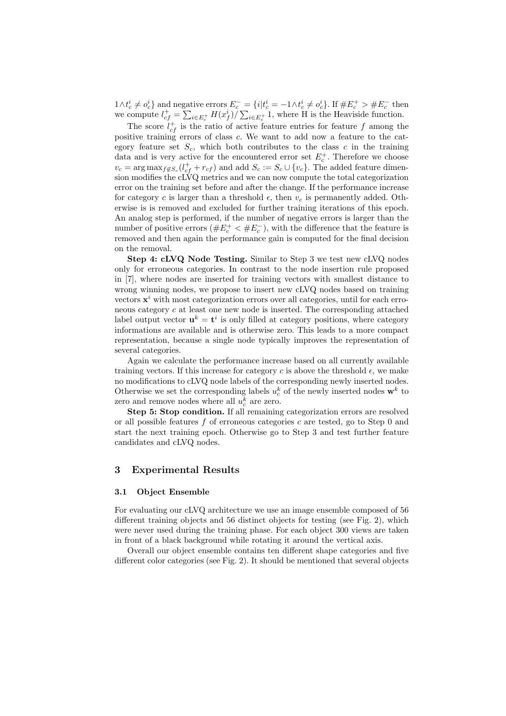$1 \wedge t_c^i \neq o_c^i$  and negative errors  $E_c^- = \{i | t_c^i = -1 \wedge t_c^i \neq o_c^i\}$ . If  $\# E_c^+ > \# E_c^-$  then we compute  $l_{cf}^+ = \sum_{i \in E_c^+} H(x_f^i) / \sum_{i \in E_c^+} 1$ , where H is the Heaviside function.

The score  $l_{cf}^+$  is the ratio of active feature entries for feature f among the positive training errors of class c. We want to add now a feature to the category feature set  $S_c$ , which both contributes to the class c in the training data and is very active for the encountered error set  $E_c^+$ . Therefore we choose  $v_c = \arg \max_{f \notin S_c} (l_{cf}^+ + r_{cf})$  and add  $S_c := S_c \cup \{v_c\}$ . The added feature dimension modifies the cLVQ metrics and we can now compute the total categorization error on the training set before and after the change. If the performance increase for category c is larger than a threshold  $\epsilon$ , then  $v_c$  is permanently added. Otherwise is is removed and excluded for further training iterations of this epoch. An analog step is performed, if the number of negative errors is larger than the number of positive errors ( $\#E_c^+ < \#E_c^-$ ), with the difference that the feature is removed and then again the performance gain is computed for the final decision on the removal.

Step 4: cLVQ Node Testing. Similar to Step 3 we test new cLVQ nodes only for erroneous categories. In contrast to the node insertion rule proposed in [7], where nodes are inserted for training vectors with smallest distance to wrong winning nodes, we propose to insert new cLVQ nodes based on training vectors  $x^i$  with most categorization errors over all categories, until for each erroneous category c at least one new node is inserted. The corresponding attached label output vector  $\mathbf{u}^k = \mathbf{t}^i$  is only filled at category positions, where category informations are available and is otherwise zero. This leads to a more compact representation, because a single node typically improves the representation of several categories.

Again we calculate the performance increase based on all currently available training vectors. If this increase for category c is above the threshold  $\epsilon$ , we make no modifications to cLVQ node labels of the corresponding newly inserted nodes. Otherwise we set the corresponding labels  $u_c^k$  of the newly inserted nodes  $\mathbf{w}^k$  to zero and remove nodes where all  $u_c^k$  are zero.

Step 5: Stop condition. If all remaining categorization errors are resolved or all possible features  $f$  of erroneous categories  $c$  are tested, go to Step 0 and start the next training epoch. Otherwise go to Step 3 and test further feature candidates and cLVQ nodes.

#### 3 Experimental Results

#### 3.1 Object Ensemble

For evaluating our cLVQ architecture we use an image ensemble composed of 56 different training objects and 56 distinct objects for testing (see Fig. 2), which were never used during the training phase. For each object 300 views are taken in front of a black background while rotating it around the vertical axis.

Overall our object ensemble contains ten different shape categories and five different color categories (see Fig. 2). It should be mentioned that several objects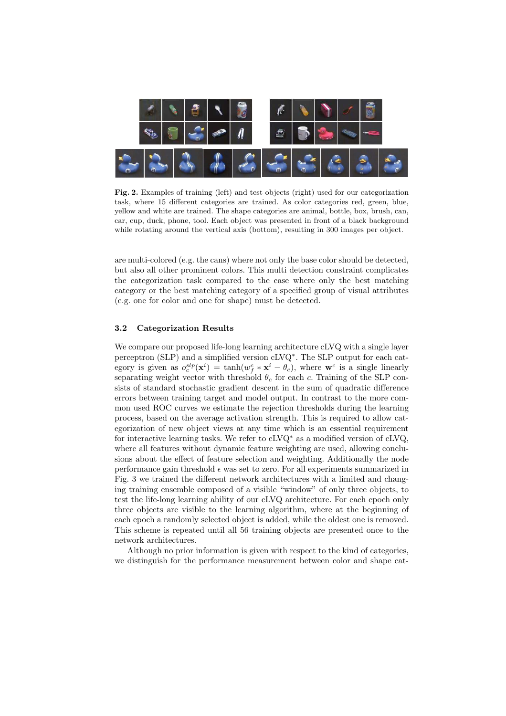

Fig. 2. Examples of training (left) and test objects (right) used for our categorization task, where 15 different categories are trained. As color categories red, green, blue, yellow and white are trained. The shape categories are animal, bottle, box, brush, can, car, cup, duck, phone, tool. Each object was presented in front of a black background while rotating around the vertical axis (bottom), resulting in 300 images per object.

are multi-colored (e.g. the cans) where not only the base color should be detected, but also all other prominent colors. This multi detection constraint complicates the categorization task compared to the case where only the best matching category or the best matching category of a specified group of visual attributes (e.g. one for color and one for shape) must be detected.

#### 3.2 Categorization Results

We compare our proposed life-long learning architecture cLVQ with a single layer perceptron (SLP) and a simplified version cLVQ<sup>∗</sup>. The SLP output for each category is given as  $o_c^{slp}(\mathbf{x}^i) = \tanh(w_f^c * \mathbf{x}^i - \theta_c)$ , where  $\mathbf{w}^c$  is a single linearly separating weight vector with threshold  $\theta_c$  for each c. Training of the SLP consists of standard stochastic gradient descent in the sum of quadratic difference errors between training target and model output. In contrast to the more common used ROC curves we estimate the rejection thresholds during the learning process, based on the average activation strength. This is required to allow categorization of new object views at any time which is an essential requirement for interactive learning tasks. We refer to cLVQ<sup>∗</sup> as a modified version of cLVQ, where all features without dynamic feature weighting are used, allowing conclusions about the effect of feature selection and weighting. Additionally the node performance gain threshold  $\epsilon$  was set to zero. For all experiments summarized in Fig. 3 we trained the different network architectures with a limited and changing training ensemble composed of a visible "window" of only three objects, to test the life-long learning ability of our cLVQ architecture. For each epoch only three objects are visible to the learning algorithm, where at the beginning of each epoch a randomly selected object is added, while the oldest one is removed. This scheme is repeated until all 56 training objects are presented once to the network architectures.

Although no prior information is given with respect to the kind of categories, we distinguish for the performance measurement between color and shape cat-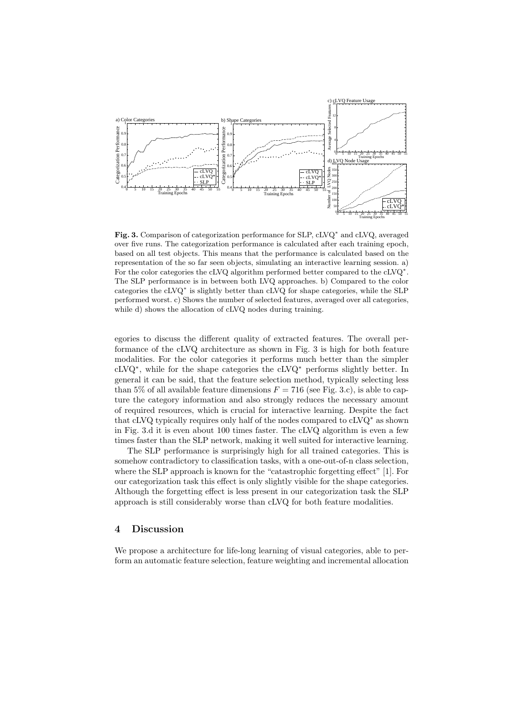

Fig. 3. Comparison of categorization performance for SLP, cLVQ<sup>\*</sup> and cLVQ, averaged over five runs. The categorization performance is calculated after each training epoch, based on all test objects. This means that the performance is calculated based on the representation of the so far seen objects, simulating an interactive learning session. a) For the color categories the cLVQ algorithm performed better compared to the cLVQ<sup>\*</sup>. The SLP performance is in between both LVQ approaches. b) Compared to the color categories the cLVQ<sup>∗</sup> is slightly better than cLVQ for shape categories, while the SLP performed worst. c) Shows the number of selected features, averaged over all categories, while d) shows the allocation of cLVQ nodes during training.

egories to discuss the different quality of extracted features. The overall performance of the cLVQ architecture as shown in Fig. 3 is high for both feature modalities. For the color categories it performs much better than the simpler cLVQ<sup>∗</sup> , while for the shape categories the cLVQ<sup>∗</sup> performs slightly better. In general it can be said, that the feature selection method, typically selecting less than 5% of all available feature dimensions  $F = 716$  (see Fig. 3.c), is able to capture the category information and also strongly reduces the necessary amount of required resources, which is crucial for interactive learning. Despite the fact that cLVQ typically requires only half of the nodes compared to cLVQ<sup>∗</sup> as shown in Fig. 3.d it is even about 100 times faster. The cLVQ algorithm is even a few times faster than the SLP network, making it well suited for interactive learning.

The SLP performance is surprisingly high for all trained categories. This is somehow contradictory to classification tasks, with a one-out-of-n class selection, where the SLP approach is known for the "catastrophic forgetting effect" [1]. For our categorization task this effect is only slightly visible for the shape categories. Although the forgetting effect is less present in our categorization task the SLP approach is still considerably worse than cLVQ for both feature modalities.

### 4 Discussion

We propose a architecture for life-long learning of visual categories, able to perform an automatic feature selection, feature weighting and incremental allocation